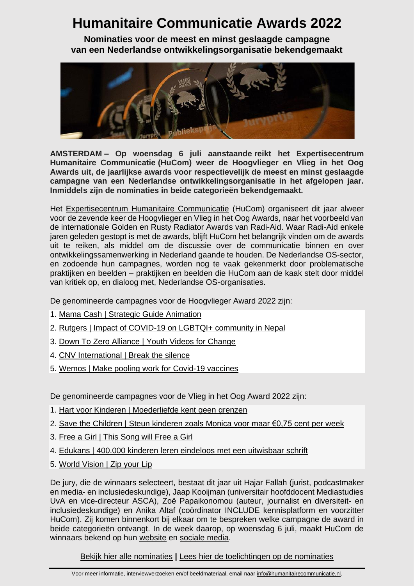## **Humanitaire Communicatie Awards 2022**

**Nominaties voor de meest en minst geslaagde campagne van een Nederlandse ontwikkelingsorganisatie bekendgemaakt**



**AMSTERDAM – Op woensdag 6 juli aanstaande reikt het Expertisecentrum Humanitaire Communicatie (HuCom) weer de Hoogvlieger en Vlieg in het Oog Awards uit, de jaarlijkse awards voor respectievelijk de meest en minst geslaagde campagne van een Nederlandse ontwikkelingsorganisatie in het afgelopen jaar. Inmiddels zijn de nominaties in beide categorieën bekendgemaakt.** 

Het [Expertisecentrum Humanitaire Communicatie](https://humanitairecommunicatie.nl/awards-2022/) (HuCom) organiseert dit jaar alweer voor de zevende keer de Hoogvlieger en Vlieg in het Oog Awards, naar het voorbeeld van de internationale Golden en Rusty Radiator Awards van Radi-Aid. Waar Radi-Aid enkele jaren geleden gestopt is met de awards, blijft HuCom het belangrijk vinden om de awards uit te reiken, als middel om de discussie over de communicatie binnen en over ontwikkelingssamenwerking in Nederland gaande te houden. De Nederlandse OS-sector, en zodoende hun campagnes, worden nog te vaak gekenmerkt door problematische praktijken en beelden – praktijken en beelden die HuCom aan de kaak stelt door middel van kritiek op, en dialoog met, Nederlandse OS-organisaties.

De genomineerde campagnes voor de Hoogvlieger Award 2022 zijn:

- 1. Mama Cash | Strategic Guide [Animation](https://www.youtube.com/watch?v=URQ_miGcFJM)
- 2. Rutgers | Impact of COVID-19 on LGBTQI+ [community](https://www.youtube.com/watch?v=i6VcdQBXnnc) in Nepal
- 3. Down To Zero [Alliance](https://www.youtube.com/watch?v=YN5-gfVAg_g) | Youth Videos for Change
- 4. CNV [International](https://youtu.be/G4in8L8qS_c) | Break the silence
- 5. Wemos | Make pooling work for [Covid-19](https://www.youtube.com/watch?v=ooWg-Anu82U) vaccines

De genomineerde campagnes voor de Vlieg in het Oog Award 2022 zijn:

- 1. Hart voor Kinderen | [Moederliefde](https://www.youtube.com/watch?v=CzYNt0yebRQ) kent geen grenzen
- 2. Save the Children | Steun [kinderen](https://humanitairecommunicatie.nl/wp-content/uploads/2022/06/10-7-2021.png) zoals Monica voor maar €0,75 cent per week
- 3. Free a Girl | This [Song](https://www.youtube.com/watch?v=mcZv1hW4n90&t=60s) will Free a Girl
- 4. Edukans | 400.000 kinderen leren eindeloos met een [uitwisbaar](https://www.youtube.com/watch?v=zKaS7XajzqY) schrift
- 5. World [Vision](https://zipyourlip.worldvision.nl/) | Zip your Lip

De jury, die de winnaars selecteert, bestaat dit jaar uit Hajar Fallah (jurist, podcastmaker en media- en inclusiedeskundige), Jaap Kooijman (universitair hoofddocent Mediastudies UvA en vice-directeur ASCA), Zoë Papaikonomou (auteur, journalist en diversiteit- en inclusiedeskundige) en Anika Altaf (coördinator INCLUDE kennisplatform en voorzitter HuCom). Zij komen binnenkort bij elkaar om te bespreken welke campagne de award in beide categorieën ontvangt. In de week daarop, op woensdag 6 juli, maakt HuCom de winnaars bekend op hun [website](https://humanitairecommunicatie.nl/awards-2022/) en [sociale media.](https://www.linkedin.com/company/humanitairecommunicatie/)

[Bekijk hier alle nominaties](https://humanitairecommunicatie.nl/awards-2022/) **|** Lees hier de [toelichtingen op de nominaties](https://humanitairecommunicatie.nl/awards-2022/)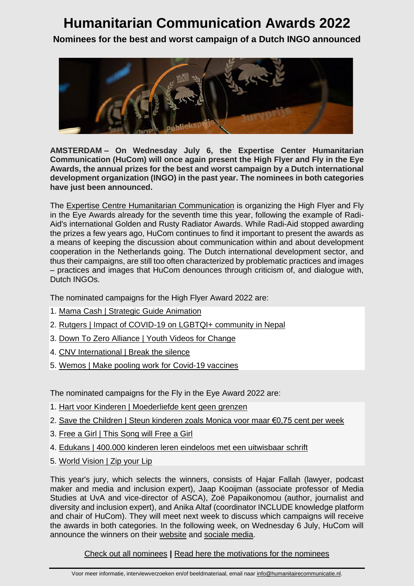## **Humanitarian Communication Awards 2022**

**Nominees for the best and worst campaign of a Dutch INGO announced**



**AMSTERDAM – On Wednesday July 6, the Expertise Center Humanitarian Communication (HuCom) will once again present the High Flyer and Fly in the Eye Awards, the annual prizes for the best and worst campaign by a Dutch international development organization (INGO) in the past year. The nominees in both categories have just been announced.**

The Expertise [Centre Humanitarian](https://humanitairecommunicatie.nl/awards-2022/) Communication is organizing the High Flyer and Fly in the Eye Awards already for the seventh time this year, following the example of Radi-Aid's international Golden and Rusty Radiator Awards. While Radi-Aid stopped awarding the prizes a few years ago, HuCom continues to find it important to present the awards as a means of keeping the discussion about communication within and about development cooperation in the Netherlands going. The Dutch international development sector, and thus their campaigns, are still too often characterized by problematic practices and images – practices and images that HuCom denounces through criticism of, and dialogue with, Dutch INGOs.

The nominated campaigns for the High Flyer Award 2022 are:

- 1. Mama Cash | Strategic Guide [Animation](https://www.youtube.com/watch?v=URQ_miGcFJM)
- 2. Rutgers | Impact of COVID-19 on LGBTQI+ [community](https://www.youtube.com/watch?v=i6VcdQBXnnc) in Nepal
- 3. Down To Zero [Alliance](https://www.youtube.com/watch?v=YN5-gfVAg_g) | Youth Videos for Change
- 4. CNV [International](https://youtu.be/G4in8L8qS_c) | Break the silence
- 5. Wemos | Make pooling work for [Covid-19](https://www.youtube.com/watch?v=ooWg-Anu82U) vaccines

The nominated campaigns for the Fly in the Eye Award 2022 are:

- 1. Hart voor Kinderen | [Moederliefde](https://www.youtube.com/watch?v=CzYNt0yebRQ) kent geen grenzen
- 2. Save the Children | Steun [kinderen](https://humanitairecommunicatie.nl/wp-content/uploads/2022/06/10-7-2021.png) zoals Monica voor maar €0,75 cent per week
- 3. Free a Girl | This [Song](https://www.youtube.com/watch?v=mcZv1hW4n90&t=60s) will Free a Girl
- 4. Edukans | 400.000 kinderen leren eindeloos met een [uitwisbaar](https://www.youtube.com/watch?v=zKaS7XajzqY) schrift
- 5. World [Vision](https://zipyourlip.worldvision.nl/) | Zip your Lip

This year's jury, which selects the winners, consists of Hajar Fallah (lawyer, podcast maker and media and inclusion expert), Jaap Kooijman (associate professor of Media Studies at UvA and vice-director of ASCA), Zoë Papaikonomou (author, journalist and diversity and inclusion expert), and Anika Altaf (coordinator INCLUDE knowledge platform and chair of HuCom). They will meet next week to discuss which campaigns will receive the awards in both categories. In the following week, on Wednesday 6 July, HuCom will announce the winners on their [website](https://humanitairecommunicatie.nl/awards-2022/) and [sociale media.](https://www.linkedin.com/company/humanitairecommunicatie/)

## [Check out all nominees](https://humanitairecommunicatie.nl/awards-2022/) **|** [Read here the motivations for the nominees](https://humanitairecommunicatie.nl/awards-2022/)